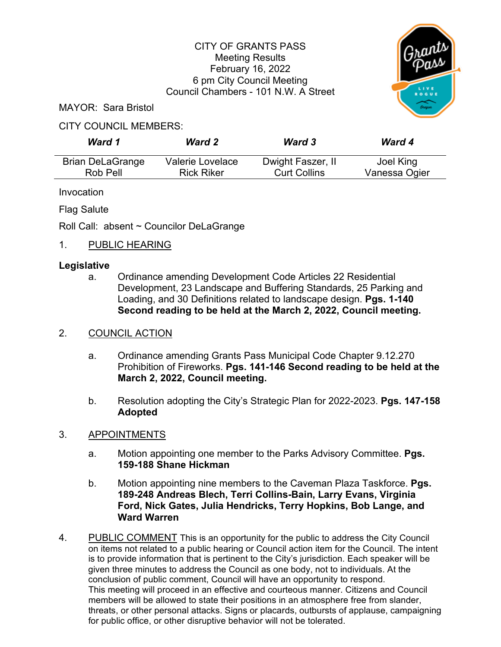# CITY OF GRANTS PASS Meeting Results February 16, 2022 6 pm City Council Meeting Council Chambers - 101 N.W. A Street



MAYOR: Sara Bristol

### CITY COUNCIL MEMBERS:

| Ward 1                  | <b>Ward 2</b>     | <b>Ward 3</b>       | <b>Ward 4</b> |
|-------------------------|-------------------|---------------------|---------------|
| <b>Brian DeLaGrange</b> | Valerie Lovelace  | Dwight Faszer, II   | Joel King     |
| Rob Pell                | <b>Rick Riker</b> | <b>Curt Collins</b> | Vanessa Ogier |

Invocation

Flag Salute

Roll Call: absent ~ Councilor DeLaGrange

### 1. PUBLIC HEARING

#### **Legislative**

a. Ordinance amending Development Code Articles 22 Residential Development, 23 Landscape and Buffering Standards, 25 Parking and Loading, and 30 Definitions related to landscape design. **Pgs. 1-140 Second reading to be held at the March 2, 2022, Council meeting.**

#### 2. COUNCIL ACTION

- a. Ordinance amending Grants Pass Municipal Code Chapter 9.12.270 Prohibition of Fireworks. **Pgs. 141-146 Second reading to be held at the March 2, 2022, Council meeting.**
- b. Resolution adopting the City's Strategic Plan for 2022-2023. **Pgs. 147-158 Adopted**

# 3. APPOINTMENTS

- a. Motion appointing one member to the Parks Advisory Committee. **Pgs. 159-188 Shane Hickman**
- b. Motion appointing nine members to the Caveman Plaza Taskforce. **Pgs. 189-248 Andreas Blech, Terri Collins-Bain, Larry Evans, Virginia Ford, Nick Gates, Julia Hendricks, Terry Hopkins, Bob Lange, and Ward Warren**
- 4. PUBLIC COMMENT This is an opportunity for the public to address the City Council on items not related to a public hearing or Council action item for the Council. The intent is to provide information that is pertinent to the City's jurisdiction. Each speaker will be given three minutes to address the Council as one body, not to individuals. At the conclusion of public comment, Council will have an opportunity to respond. This meeting will proceed in an effective and courteous manner. Citizens and Council members will be allowed to state their positions in an atmosphere free from slander, threats, or other personal attacks. Signs or placards, outbursts of applause, campaigning for public office, or other disruptive behavior will not be tolerated.